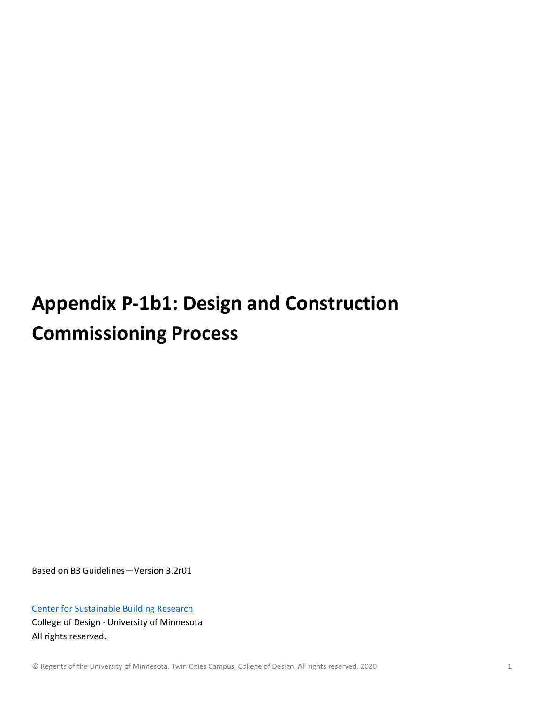# **Appendix P-1b1: Design and Construction Commissioning Process**

Based on B3 Guidelines—Version 3.2r01

[Center for Sustainable Building Research](http://www.csbr.umn.edu/) College of Design · University of Minnesota All rights reserved.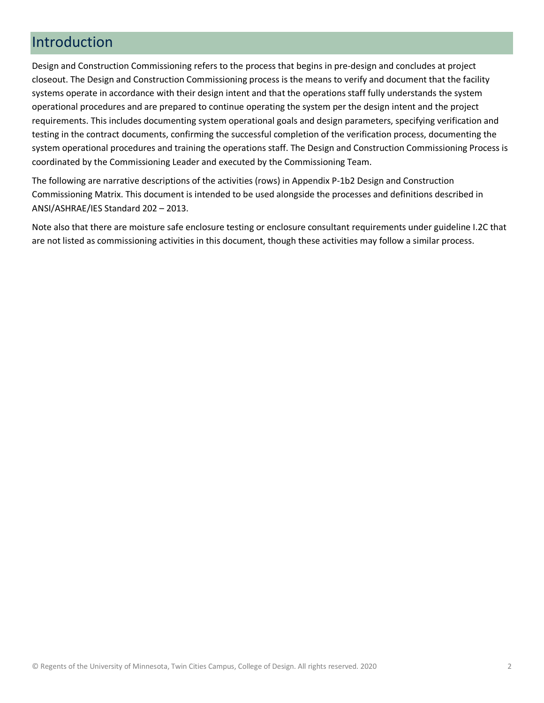## Introduction

Design and Construction Commissioning refers to the process that begins in pre-design and concludes at project closeout. The Design and Construction Commissioning process is the means to verify and document that the facility systems operate in accordance with their design intent and that the operations staff fully understands the system operational procedures and are prepared to continue operating the system per the design intent and the project requirements. This includes documenting system operational goals and design parameters, specifying verification and testing in the contract documents, confirming the successful completion of the verification process, documenting the system operational procedures and training the operations staff. The Design and Construction Commissioning Process is coordinated by the Commissioning Leader and executed by the Commissioning Team.

The following are narrative descriptions of the activities (rows) in Appendix P-1b2 Design and Construction Commissioning Matrix. This document is intended to be used alongside the processes and definitions described in ANSI/ASHRAE/IES Standard 202 – 2013.

Note also that there are moisture safe enclosure testing or enclosure consultant requirements under guideline I.2C that are not listed as commissioning activities in this document, though these activities may follow a similar process.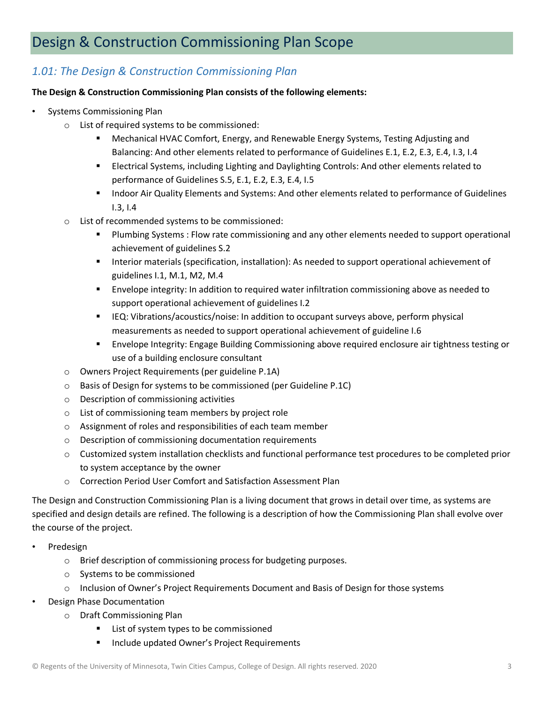# Design & Construction Commissioning Plan Scope

### *1.01: The Design & Construction Commissioning Plan*

#### **The Design & Construction Commissioning Plan consists of the following elements:**

- Systems Commissioning Plan
	- o List of required systems to be commissioned:
		- Mechanical HVAC Comfort, Energy, and Renewable Energy Systems, Testing Adjusting and Balancing: And other elements related to performance of Guidelines E.1, E.2, E.3, E.4, I.3, I.4
		- Electrical Systems, including Lighting and Daylighting Controls: And other elements related to performance of Guidelines S.5, E.1, E.2, E.3, E.4, I.5
		- **Indoor Air Quality Elements and Systems: And other elements related to performance of Guidelines** I.3, I.4
	- o List of recommended systems to be commissioned:
		- **Plumbing Systems : Flow rate commissioning and any other elements needed to support operational** achievement of guidelines S.2
		- **Interior materials (specification, installation): As needed to support operational achievement of** guidelines I.1, M.1, M2, M.4
		- Envelope integrity: In addition to required water infiltration commissioning above as needed to support operational achievement of guidelines I.2
		- **IFQ: Vibrations/acoustics/noise: In addition to occupant surveys above, perform physical** measurements as needed to support operational achievement of guideline I.6
		- Envelope Integrity: Engage Building Commissioning above required enclosure air tightness testing or use of a building enclosure consultant
	- o Owners Project Requirements (per guideline P.1A)
	- o Basis of Design for systems to be commissioned (per Guideline P.1C)
	- o Description of commissioning activities
	- o List of commissioning team members by project role
	- o Assignment of roles and responsibilities of each team member
	- o Description of commissioning documentation requirements
	- o Customized system installation checklists and functional performance test procedures to be completed prior to system acceptance by the owner
	- o Correction Period User Comfort and Satisfaction Assessment Plan

The Design and Construction Commissioning Plan is a living document that grows in detail over time, as systems are specified and design details are refined. The following is a description of how the Commissioning Plan shall evolve over the course of the project.

- Predesign
	- o Brief description of commissioning process for budgeting purposes.
	- o Systems to be commissioned
	- $\circ$  Inclusion of Owner's Project Requirements Document and Basis of Design for those systems
- Design Phase Documentation
	- o Draft Commissioning Plan
		- **EXTER 1** List of system types to be commissioned
		- **Include updated Owner's Project Requirements**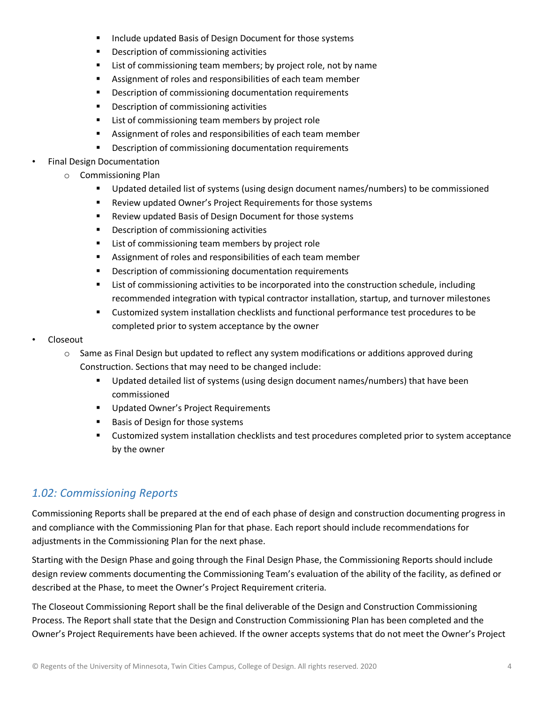- **Include updated Basis of Design Document for those systems**
- **•** Description of commissioning activities
- **EXTER** List of commissioning team members; by project role, not by name
- Assignment of roles and responsibilities of each team member
- **Description of commissioning documentation requirements**
- **•** Description of commissioning activities
- **EXECT** List of commissioning team members by project role
- Assignment of roles and responsibilities of each team member
- **•** Description of commissioning documentation requirements
- Final Design Documentation
	- o Commissioning Plan
		- Updated detailed list of systems (using design document names/numbers) to be commissioned
		- Review updated Owner's Project Requirements for those systems
		- **Review updated Basis of Design Document for those systems**
		- **Description of commissioning activities**
		- **EXECT** List of commissioning team members by project role
		- Assignment of roles and responsibilities of each team member
		- **Description of commissioning documentation requirements**
		- **EXECT** List of commissioning activities to be incorporated into the construction schedule, including recommended integration with typical contractor installation, startup, and turnover milestones
		- Customized system installation checklists and functional performance test procedures to be completed prior to system acceptance by the owner
- Closeout
	- $\circ$  Same as Final Design but updated to reflect any system modifications or additions approved during Construction. Sections that may need to be changed include:
		- **Updated detailed list of systems (using design document names/numbers) that have been** commissioned
		- **Updated Owner's Project Requirements**
		- **Basis of Design for those systems**
		- Customized system installation checklists and test procedures completed prior to system acceptance by the owner

### *1.02: Commissioning Reports*

Commissioning Reports shall be prepared at the end of each phase of design and construction documenting progress in and compliance with the Commissioning Plan for that phase. Each report should include recommendations for adjustments in the Commissioning Plan for the next phase.

Starting with the Design Phase and going through the Final Design Phase, the Commissioning Reports should include design review comments documenting the Commissioning Team's evaluation of the ability of the facility, as defined or described at the Phase, to meet the Owner's Project Requirement criteria.

The Closeout Commissioning Report shall be the final deliverable of the Design and Construction Commissioning Process. The Report shall state that the Design and Construction Commissioning Plan has been completed and the Owner's Project Requirements have been achieved. If the owner accepts systems that do not meet the Owner's Project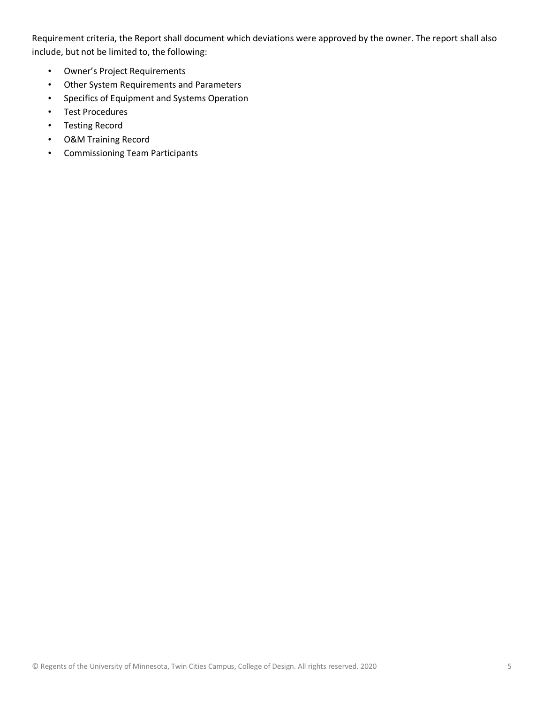Requirement criteria, the Report shall document which deviations were approved by the owner. The report shall also include, but not be limited to, the following:

- Owner's Project Requirements
- Other System Requirements and Parameters
- Specifics of Equipment and Systems Operation
- Test Procedures
- Testing Record
- O&M Training Record
- Commissioning Team Participants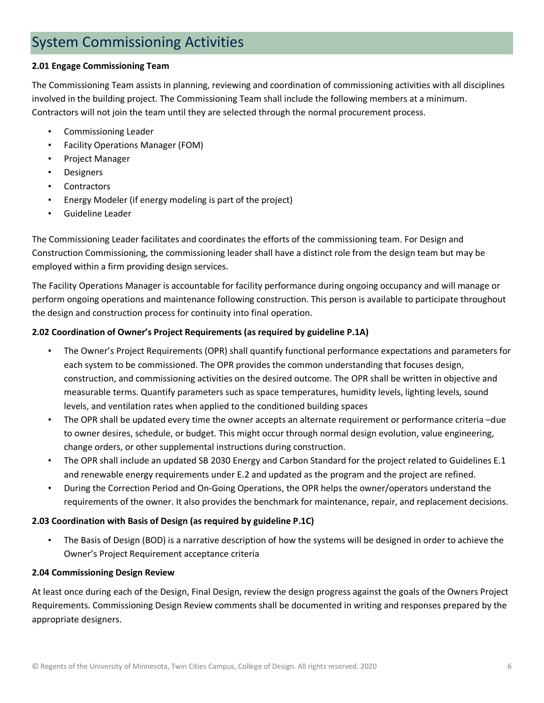## System Commissioning Activities

#### **2.01 Engage Commissioning Team**

The Commissioning Team assists in planning, reviewing and coordination of commissioning activities with all disciplines involved in the building project. The Commissioning Team shall include the following members at a minimum. Contractors will not join the team until they are selected through the normal procurement process.

- Commissioning Leader
- Facility Operations Manager (FOM)
- Project Manager
- Designers
- **Contractors**
- Energy Modeler (if energy modeling is part of the project)
- Guideline Leader

The Commissioning Leader facilitates and coordinates the efforts of the commissioning team. For Design and Construction Commissioning, the commissioning leader shall have a distinct role from the design team but may be employed within a firm providing design services.

The Facility Operations Manager is accountable for facility performance during ongoing occupancy and will manage or perform ongoing operations and maintenance following construction. This person is available to participate throughout the design and construction process for continuity into final operation.

#### **2.02 Coordination of Owner's Project Requirements (as required by guideline P.1A)**

- The Owner's Project Requirements (OPR) shall quantify functional performance expectations and parameters for each system to be commissioned. The OPR provides the common understanding that focuses design, construction, and commissioning activities on the desired outcome. The OPR shall be written in objective and measurable terms. Quantify parameters such as space temperatures, humidity levels, lighting levels, sound levels, and ventilation rates when applied to the conditioned building spaces
- The OPR shall be updated every time the owner accepts an alternate requirement or performance criteria –due to owner desires, schedule, or budget. This might occur through normal design evolution, value engineering, change orders, or other supplemental instructions during construction.
- The OPR shall include an updated SB 2030 Energy and Carbon Standard for the project related to Guidelines E.1 and renewable energy requirements under E.2 and updated as the program and the project are refined.
- During the Correction Period and On-Going Operations, the OPR helps the owner/operators understand the requirements of the owner. It also provides the benchmark for maintenance, repair, and replacement decisions.

#### **2.03 Coordination with Basis of Design (as required by guideline P.1C)**

• The Basis of Design (BOD) is a narrative description of how the systems will be designed in order to achieve the Owner's Project Requirement acceptance criteria

#### **2.04 Commissioning Design Review**

At least once during each of the Design, Final Design, review the design progress against the goals of the Owners Project Requirements. Commissioning Design Review comments shall be documented in writing and responses prepared by the appropriate designers.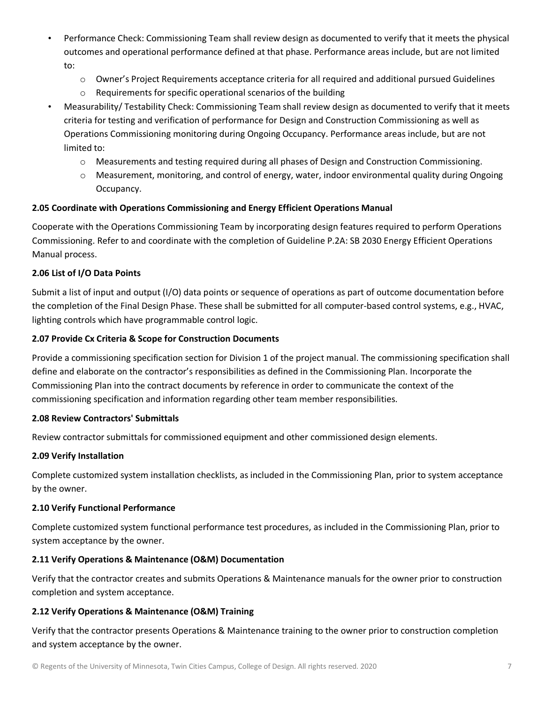- Performance Check: Commissioning Team shall review design as documented to verify that it meets the physical outcomes and operational performance defined at that phase. Performance areas include, but are not limited to:
	- $\circ$  Owner's Project Requirements acceptance criteria for all required and additional pursued Guidelines
	- o Requirements for specific operational scenarios of the building
- Measurability/ Testability Check: Commissioning Team shall review design as documented to verify that it meets criteria for testing and verification of performance for Design and Construction Commissioning as well as Operations Commissioning monitoring during Ongoing Occupancy. Performance areas include, but are not limited to:
	- o Measurements and testing required during all phases of Design and Construction Commissioning.
	- $\circ$  Measurement, monitoring, and control of energy, water, indoor environmental quality during Ongoing Occupancy.

#### **2.05 Coordinate with Operations Commissioning and Energy Efficient Operations Manual**

Cooperate with the Operations Commissioning Team by incorporating design features required to perform Operations Commissioning. Refer to and coordinate with the completion of Guideline P.2A: SB 2030 Energy Efficient Operations Manual process.

#### **2.06 List of I/O Data Points**

Submit a list of input and output (I/O) data points or sequence of operations as part of outcome documentation before the completion of the Final Design Phase. These shall be submitted for all computer-based control systems, e.g., HVAC, lighting controls which have programmable control logic.

#### **2.07 Provide Cx Criteria & Scope for Construction Documents**

Provide a commissioning specification section for Division 1 of the project manual. The commissioning specification shall define and elaborate on the contractor's responsibilities as defined in the Commissioning Plan. Incorporate the Commissioning Plan into the contract documents by reference in order to communicate the context of the commissioning specification and information regarding other team member responsibilities.

#### **2.08 Review Contractors' Submittals**

Review contractor submittals for commissioned equipment and other commissioned design elements.

#### **2.09 Verify Installation**

Complete customized system installation checklists, as included in the Commissioning Plan, prior to system acceptance by the owner.

#### **2.10 Verify Functional Performance**

Complete customized system functional performance test procedures, as included in the Commissioning Plan, prior to system acceptance by the owner.

#### **2.11 Verify Operations & Maintenance (O&M) Documentation**

Verify that the contractor creates and submits Operations & Maintenance manuals for the owner prior to construction completion and system acceptance.

#### **2.12 Verify Operations & Maintenance (O&M) Training**

Verify that the contractor presents Operations & Maintenance training to the owner prior to construction completion and system acceptance by the owner.